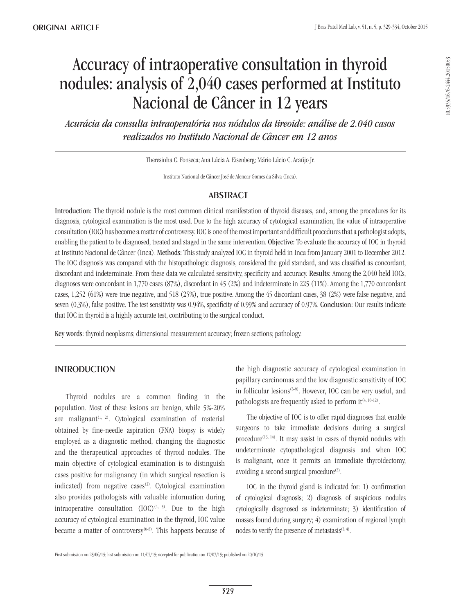# Accuracy of intraoperative consultation in thyroid nodules: analysis of 2,040 cases performed at Instituto Nacional de Câncer in 12 years

*Acurácia da consulta intraoperatória nos nódulos da tireoide: análise de 2.040 casos realizados no Instituto Nacional de Câncer em 12 anos*

Theresinha C. Fonseca; Ana Lúcia A. Eisenberg; Mário Lúcio C. Araújo Jr.

Instituto Nacional de Câncer José de Alencar Gomes da Silva (Inca).

# **ABSTRACT**

Introduction: The thyroid nodule is the most common clinical manifestation of thyroid diseases, and, among the procedures for its diagnosis, cytological examination is the most used. Due to the high accuracy of cytological examination, the value of intraoperative consultation (IOC) has become a matter of controversy. IOC is one of the most important and difficult procedures that a pathologist adopts, enabling the patient to be diagnosed, treated and staged in the same intervention. Objective: To evaluate the accuracy of IOC in thyroid at Instituto Nacional de Câncer (Inca). Methods: This study analyzed IOC in thyroid held in Inca from January 2001 to December 2012. The IOC diagnosis was compared with the histopathologic diagnosis, considered the gold standard, and was classified as concordant, discordant and indeterminate. From these data we calculated sensitivity, specificity and accuracy. Results: Among the 2,040 held IOCs, diagnoses were concordant in 1,770 cases (87%), discordant in 45 (2%) and indeterminate in 225 (11%). Among the 1,770 concordant cases, 1,252 (61%) were true negative, and 518 (25%), true positive. Among the 45 discordant cases, 38 (2%) were false negative, and seven (0,3%), false positive. The test sensitivity was 0.94%, specificity of 0.99% and accuracy of 0.97%. Conclusion: Our results indicate that IOC in thyroid is a highly accurate test, contributing to the surgical conduct.

Key words: thyroid neoplasms; dimensional measurement accuracy; frozen sections; pathology.

# **INTRODUCTION**

Thyroid nodules are a common finding in the population. Most of these lesions are benign, while 5%-20% are malignant<sup> $(1, 2)$ </sup>. Cytological examination of material obtained by fine-needle aspiration (FNA) biopsy is widely employed as a diagnostic method, changing the diagnostic and the therapeutical approaches of thyroid nodules. The main objective of cytological examination is to distinguish cases positive for malignancy (in which surgical resection is indicated) from negative cases<sup>(3)</sup>. Cytological examination also provides pathologists with valuable information during intraoperative consultation  $(IOC)^{(4, 5)}$ . Due to the high accuracy of cytological examination in the thyroid, IOC value became a matter of controversy $(6-8)$ . This happens because of the high diagnostic accuracy of cytological examination in papillary carcinomas and the low diagnostic sensitivity of IOC in follicular lesions<sup> $(6-9)$ </sup>. However, IOC can be very useful, and pathologists are frequently asked to perform it  $(4, 10-12)$ .

The objective of IOC is to offer rapid diagnoses that enable surgeons to take immediate decisions during a surgical procedure<sup> $(13, 14)$ </sup>. It may assist in cases of thyroid nodules with undeterminate cytopathological diagnosis and when IOC is malignant, once it permits an immediate thyroidectomy, avoiding a second surgical procedure<sup>(3)</sup>.

IOC in the thyroid gland is indicated for: 1) confirmation of cytological diagnosis; 2) diagnosis of suspicious nodules cytologically diagnosed as indeterminate; 3) identification of masses found during surgery; 4) examination of regional lymph nodes to verify the presence of metastasis $(3, 4)$ .

First submission on 25/06/15; last submission on 11/07/15; accepted for publication on 17/07/15; published on 20/10/15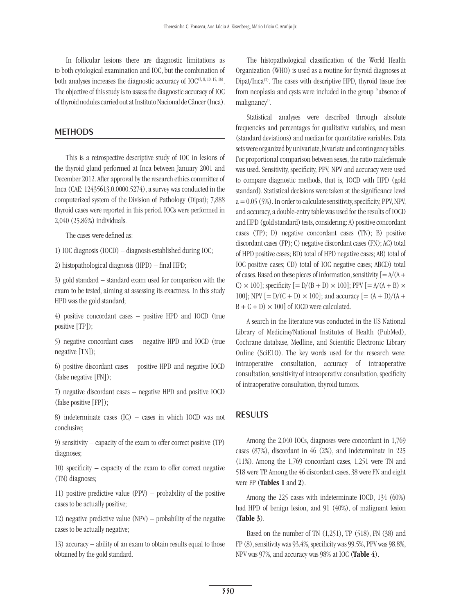In follicular lesions there are diagnostic limitations as to both cytological examination and IOC, but the combination of both analyses increases the diagnostic accuracy of  $IOC^{(3, 8, 10, 15, 16)}$ . The objective of this study is to assess the diagnostic accuracy of IOC of thyroid nodules carried out at Instituto Nacional de Câncer (Inca).

## **METHODS**

This is a retrospective descriptive study of IOC in lesions of the thyroid gland performed at Inca between January 2001 and December 2012. After approval by the research ethics committee of Inca (CAE: 12435613.0.0000.5274), a survey was conducted in the computerized system of the Division of Pathology (Dipat); 7,888 thyroid cases were reported in this period. IOCs were performed in 2,040 (25.86%) individuals.

The cases were defined as:

1) IOC diagnosis (IOCD) – diagnosis established during IOC;

2) histopathological diagnosis (HPD) – final HPD;

3) gold standard – standard exam used for comparison with the exam to be tested, aiming at assessing its exactness. In this study HPD was the gold standard;

4) positive concordant cases – positive HPD and IOCD (true positive [TP]);

5) negative concordant cases – negative HPD and IOCD (true negative [TN]);

6) positive discordant cases – positive HPD and negative IOCD (false negative [FN]);

7) negative discordant cases – negative HPD and positive IOCD (false positive [FP]);

8) indeterminate cases (IC) – cases in which IOCD was not conclusive;

9) sensitivity – capacity of the exam to offer correct positive (TP) diagnoses;

10) specificity – capacity of the exam to offer correct negative (TN) diagnoses;

11) positive predictive value (PPV) – probability of the positive cases to be actually positive;

12) negative predictive value (NPV) – probability of the negative cases to be actually negative;

13) accuracy – ability of an exam to obtain results equal to those obtained by the gold standard.

The histopathological classification of the World Health Organization (WHO) is used as a routine for thyroid diagnoses at  $Dipat/Inca<sup>(2)</sup>$ . The cases with descriptive HPD, thyroid tissue free from neoplasia and cysts were included in the group "absence of malignancy".

Statistical analyses were described through absolute frequencies and percentages for qualitative variables, and mean (standard deviations) and median for quantitative variables. Data sets were organized by univariate, bivariate and contingency tables. For proportional comparison between sexes, the ratio male:female was used. Sensitivity, specificity, PPV, NPV and accuracy were used to compare diagnostic methods, that is, IOCD with HPD (gold standard). Statistical decisions were taken at the significance level  $a = 0.05$  (5%). In order to calculate sensitivity, specificity, PPV, NPV, and accuracy, a double-entry table was used for the results of IOCD and HPD (gold standard) tests, considering: A) positive concordant cases (TP); D) negative concordant cases (TN); B) positive discordant cases (FP); C) negative discordant cases (FN); AC) total of HPD positive cases; BD) total of HPD negative cases; AB) total of IOC positive cases; CD) total of IOC negative cases; ABCD) total of cases. Based on these pieces of information, sensitivity  $[= A/(A +$ C)  $\times$  100]; specificity  $[= D/(B + D) \times 100]$ ; PPV  $[= A/(A + B) \times$ 100]; NPV  $[= D/(C + D) \times 100]$ ; and accuracy  $[= (A + D)/(A +$  $B + C + D \times 100$  of IOCD were calculated.

A search in the literature was conducted in the US National Library of Medicine/National Institutes of Health (PubMed), Cochrane database, Medline, and Scientific Electronic Library Online (SciELO). The key words used for the research were: intraoperative consultation, accuracy of intraoperative consultation, sensitivity of intraoperative consultation, specificity of intraoperative consultation, thyroid tumors.

## **RESULTS**

Among the 2,040 IOCs, diagnoses were concordant in 1,769 cases (87%), discordant in 46 (2%), and indeterminate in 225 (11%). Among the 1,769 concordant cases, 1,251 were TN and 518 were TP. Among the 46 discordant cases, 38 were FN and eight were FP (Tables 1 and 2).

Among the 225 cases with indeterminate IOCD, 134 (60%) had HPD of benign lesion, and 91 (40%), of malignant lesion (Table 3).

Based on the number of TN  $(1,251)$ , TP  $(518)$ , FN  $(38)$  and FP (8), sensitivity was 93.4%, specificity was 99.5%, PPV was 98.8%, NPV was 97%, and accuracy was 98% at IOC (Table 4).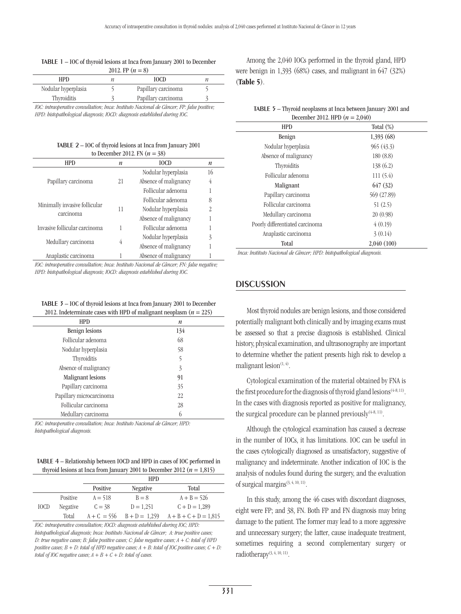#### Table 1 – IOC of thyroid lesions at Inca from January 2001 to December 2012. FP  $(n = 8)$

| <b>HPD</b>          | <b>IOCD</b>         |  |
|---------------------|---------------------|--|
| Nodular hyperplasia | Papillary carcinoma |  |
| Thyroiditis         | Papillary carcinoma |  |
|                     |                     |  |

*IOC: intraoperative consultation; Inca: Instituto Nacional de Câncer; FP: false positive; HPD: histopathological diagnosis; IOCD: diagnosis established during IOC.*

#### Table 2 – IOC of thyroid lesions at Inca from January 2001 to December 2012. FN (*n* = 38)

| $10^{10}$ December 2012. 111 $W = 0.07$ |    |                       |                  |
|-----------------------------------------|----|-----------------------|------------------|
| <b>HPD</b>                              | n  | <b>IOCD</b>           | $\boldsymbol{n}$ |
|                                         | 21 | Nodular hyperplasia   | 16               |
| Papillary carcinoma                     |    | Absence of malignancy | 4                |
|                                         |    | Follicular adenoma    |                  |
|                                         | 11 | Follicular adenoma    | 8                |
| Minimally invasive follicular           |    | Nodular hyperplasia   | $\overline{2}$   |
| carcinoma                               |    | Absence of malignancy |                  |
| Invasive follicular carcinoma           |    | Follicular adenoma    |                  |
| Medullary carcinoma                     | 4  | Nodular hyperplasia   | 3                |
|                                         |    | Absence of malignancy |                  |
| Anaplastic carcinoma                    |    | Absence of malignancy |                  |
|                                         |    |                       |                  |

*IOC: intraoperative consultation; Inca: Instituto Nacional de Câncer; FN: false negative; HPD: histopathological diagnosis; IOCD: diagnosis established during IOC.*

Table 3 – IOC of thyroid lesions at Inca from January 2001 to December 2012. Indeterminate cases with HPD of malignant neoplasm  $(n = 225)$ 

| <b>HPD</b>               | $\boldsymbol{n}$ |  |
|--------------------------|------------------|--|
| <b>Benign lesions</b>    | 134              |  |
| Follicular adenoma       | 68               |  |
| Nodular hyperplasia      | 58               |  |
| Thyroiditis              | 5                |  |
| Absence of malignancy    | 3                |  |
| Malignant lesions        | 91               |  |
| Papillary carcinoma      | 35               |  |
| Papillary microcarcinoma | 22               |  |
| Follicular carcinoma     | 28               |  |
| Medullary carcinoma      |                  |  |
|                          |                  |  |

*IOC: intraoperative consultation; Inca: Instituto Nacional de Câncer; HPD: histopathological diagnosis.*

Table 4 – Relationship between IOCD and HPD in cases of IOC performed in thyroid lesions at Inca from January 2001 to December 2012 ( $n = 1,815$ )

|             |          | <b>HPD</b>    |                 |                         |
|-------------|----------|---------------|-----------------|-------------------------|
|             |          | Positive      | <b>Negative</b> | Total                   |
|             | Positive | $A = 518$     | $B = 8$         | $A + B = 526$           |
| <b>IOCD</b> | Negative | $C = 38$      | $D = 1.251$     | $C + D = 1.289$         |
|             | Total    | $A + C = 556$ | $B + D = 1,259$ | $A + B + C + D = 1,815$ |

*IOC: intraoperative consultation; IOCD: diagnosis established during IOC; HPD: histopathological diagnosis; Inca: Instituto Nacional de Câncer; A: true positive cases; D: true negative cases; B: false positive cases; C: false negative cases; A + C: total of HPD positive cases; B + D: total of HPD negative cases; A + B: total of IOC positive cases; C + D: total of IOC negative cases;*  $A + B + C + D$ *: total of cases.* 

Among the 2,040 IOCs performed in the thyroid gland, HPD were benign in 1,393 (68%) cases, and malignant in 647 (32%) (Table 5).

| TABLE 5 – Thyroid neoplasms at Inca between January 2001 and |  |
|--------------------------------------------------------------|--|
| December 2012. HPD $(n = 2,040)$                             |  |

| <b>HPD</b>                      | Total $(\%)$ |
|---------------------------------|--------------|
| Benign                          | 1,393 (68)   |
| Nodular hyperplasia             | 965(43.3)    |
| Absence of malignancy           | 180(8.8)     |
| Thyroiditis                     | 138(6.2)     |
| Follicular adenoma              | 111(5.4)     |
| Malignant                       | 647 (32)     |
| Papillary carcinoma             | 569 (27.89)  |
| Follicular carcinoma            | 51(2.5)      |
| Medullary carcinoma             | 20(0.98)     |
| Poorly differentiated carcinoma | 4(0.19)      |
| Anaplastic carcinoma            | 3(0.14)      |
| Total                           | 2,040 (100)  |

*Inca: Instituto Nacional de Câncer; HPD: histopathological diagnosis.*

## **DISCUSSION**

Most thyroid nodules are benign lesions, and those considered potentially malignant both clinically and by imaging exams must be assessed so that a precise diagnosis is established. Clinical history, physical examination, and ultrasonography are important to determine whether the patient presents high risk to develop a malignant lesion $(1, 4)$ .

Cytological examination of the material obtained by FNA is the first procedure for the diagnosis of thyroid gland lesions<sup> $(4-8, 11)$ </sup>. In the cases with diagnosis reported as positive for malignancy, the surgical procedure can be planned previously $(4-8, 11)$ .

Although the cytological examination has caused a decrease in the number of IOCs, it has limitations. IOC can be useful in the cases cytologically diagnosed as unsatisfactory, suggestive of malignancy and indeterminate. Another indication of IOC is the analysis of nodules found during the surgery, and the evaluation of surgical margins<sup>(3, 4, 10, 11)</sup>.

In this study, among the 46 cases with discordant diagnoses, eight were FP; and 38, FN. Both FP and FN diagnosis may bring damage to the patient. The former may lead to a more aggressive and unnecessary surgery; the latter, cause inadequate treatment, sometimes requiring a second complementary surgery or radiotherapy<sup>(3, 4, 10, 11)</sup>.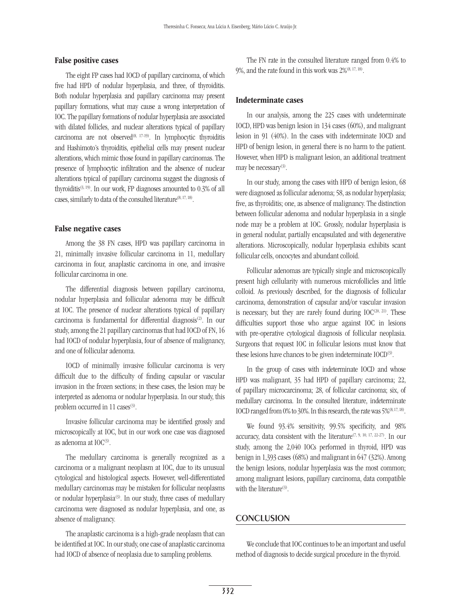#### False positive cases

The eight FP cases had IOCD of papillary carcinoma, of which five had HPD of nodular hyperplasia, and three, of thyroiditis. Both nodular hyperplasia and papillary carcinoma may present papillary formations, what may cause a wrong interpretation of IOC. The papillary formations of nodular hyperplasia are associated with dilated follicles, and nuclear alterations typical of papillary carcinoma are not observed<sup> $(8, 17-19)$ </sup>. In lymphocytic thyroiditis and Hashimoto's thyroiditis, epithelial cells may present nuclear alterations, which mimic those found in papillary carcinomas. The presence of lymphocytic infiltration and the absence of nuclear alterations typical of papillary carcinoma suggest the diagnosis of thyroiditis<sup> $(3, 19)$ </sup>. In our work, FP diagnoses amounted to 0.3% of all cases, similarly to data of the consulted literature<sup>(8, 17, 18)</sup>.

#### False negative cases

Among the 38 FN cases, HPD was papillary carcinoma in 21, minimally invasive follicular carcinoma in 11, medullary carcinoma in four, anaplastic carcinoma in one, and invasive follicular carcinoma in one.

The differential diagnosis between papillary carcinoma, nodular hyperplasia and follicular adenoma may be difficult at IOC. The presence of nuclear alterations typical of papillary carcinoma is fundamental for differential diagnosis<sup>(2)</sup>. In our study, among the 21 papillary carcinomas that had IOCD of FN, 16 had IOCD of nodular hyperplasia, four of absence of malignancy, and one of follicular adenoma.

IOCD of minimally invasive follicular carcinoma is very difficult due to the difficulty of finding capsular or vascular invasion in the frozen sections; in these cases, the lesion may be interpreted as adenoma or nodular hyperplasia. In our study, this problem occurred in 11 cases<sup>(3)</sup>.

Invasive follicular carcinoma may be identified grossly and microscopically at IOC, but in our work one case was diagnosed as adenoma at  $IOC^{(3)}$ .

The medullary carcinoma is generally recognized as a carcinoma or a malignant neoplasm at IOC, due to its unusual cytological and histological aspects. However, well-differentiated medullary carcinomas may be mistaken for follicular neoplasms or nodular hyperplasia<sup>(3)</sup>. In our study, three cases of medullary carcinoma were diagnosed as nodular hyperplasia, and one, as absence of malignancy.

The anaplastic carcinoma is a high-grade neoplasm that can be identified at IOC. In our study, one case of anaplastic carcinoma had IOCD of absence of neoplasia due to sampling problems.

The FN rate in the consulted literature ranged from 0.4% to 9%, and the rate found in this work was  $2\%^{(8, 17, 18)}$ .

#### Indeterminate cases

In our analysis, among the 225 cases with undeterminate IOCD, HPD was benign lesion in 134 cases (60%), and malignant lesion in 91 (40%). In the cases with indeterminate IOCD and HPD of benign lesion, in general there is no harm to the patient. However, when HPD is malignant lesion, an additional treatment may be necessary<sup>(3)</sup>.

In our study, among the cases with HPD of benign lesion, 68 were diagnosed as follicular adenoma; 58, as nodular hyperplasia; five, as thyroiditis; one, as absence of malignancy. The distinction between follicular adenoma and nodular hyperplasia in a single node may be a problem at IOC. Grossly, nodular hyperplasia is in general nodular, partially encapsulated and with degenerative alterations. Microscopically, nodular hyperplasia exhibits scant follicular cells, oncocytes and abundant colloid.

Follicular adenomas are typically single and microscopically present high cellularity with numerous microfollicles and little colloid. As previously described, for the diagnosis of follicular carcinoma, demonstration of capsular and/or vascular invasion is necessary, but they are rarely found during  $IOC^{(20, 21)}$ . These difficulties support those who argue against IOC in lesions with pre-operative cytological diagnosis of follicular neoplasia. Surgeons that request IOC in follicular lesions must know that these lesions have chances to be given indeterminate IOCD<sup>(3)</sup>.

In the group of cases with indeterminate IOCD and whose HPD was malignant, 35 had HPD of papillary carcinoma; 22, of papillary microcarcinoma; 28, of follicular carcinoma; six, of medullary carcinoma. In the consulted literature, indeterminate IOCD ranged from 0% to 30%. In this research, the rate was 5%<sup>(8, 17, 18)</sup>.

We found 93.4% sensitivity, 99.5% specificity, and 98% accuracy, data consistent with the literature<sup>(7, 9, 10, 17, 22-27)</sup>. In our study, among the 2,040 IOCs performed in thyroid, HPD was benign in 1,393 cases (68%) and malignant in 647 (32%). Among the benign lesions, nodular hyperplasia was the most common; among malignant lesions, papillary carcinoma, data compatible with the literature<sup>(3)</sup>.

## **CONCLUSION**

We conclude that IOC continues to be an important and useful method of diagnosis to decide surgical procedure in the thyroid.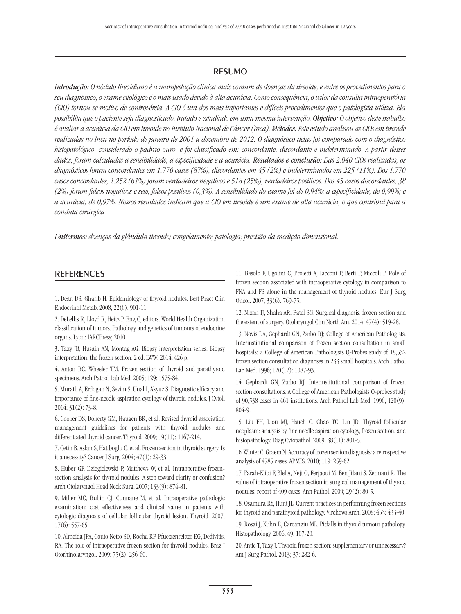## resumo

*Introdução: O nódulo tireoidiano é a manifestação clínica mais comum de doenças da tireoide, e entre os procedimentos para o seu diagnóstico, o exame citológico é o mais usado devido à alta acurácia. Como consequência, o valor da consulta intraoperatória (CIO) tornou-se motivo de controvérsia. A CIO é um dos mais importantes e difíceis procedimentos que o patologista utiliza. Ela possibilita que o paciente seja diagnosticado, tratado e estadiado em uma mesma intervenção. Objetivo: O objetivo deste trabalho é avaliar a acurácia da CIO em tireoide no Instituto Nacional de Câncer (Inca). Métodos: Este estudo analisou as CIOs em tireoide realizadas no Inca no período de janeiro de 2001 a dezembro de 2012. O diagnóstico delas foi comparado com o diagnóstico histopatológico, considerado o padrão ouro, e foi classificado em: concordante, discordante e indeterminado. A partir desses dados, foram calculadas a sensibilidade, a especificidade e a acurácia. Resultados e conclusão: Das 2.040 CIOs realizadas, os diagnósticos foram concordantes em 1.770 casos (87%), discordantes em 45 (2%) e indeterminados em 225 (11%). Dos 1.770 casos concordantes, 1.252 (61%) foram verdadeiros negativos e 518 (25%), verdadeiros positivos. Dos 45 casos discordantes, 38 (2%) foram falsos negativos e sete, falsos positivos (0,3%). A sensibilidade do exame foi de 0,94%; a especificidade, de 0,99%; e a acurácia, de 0,97%. Nossos resultados indicam que a CIO em tireoide é um exame de alta acurácia, o que contribui para a conduta cirúrgica.*

*Unitermos: doenças da glândula tireoide; congelamento; patologia; precisão da medição dimensional.*

#### **REFERENCES**

1. Dean DS, Gharib H. Epidemiology of thyroid nodules. Best Pract Clin Endocrinol Metab. 2008; 22(6): 901-11.

2. DeLellis R, Lloyd R, Heitz P, Eng C, editors. World Health Organization classification of tumors. Pathology and genetics of tumours of endocrine organs. Lyon: IARCPress; 2010.

3. Taxy JB, Husain AN, Montag AG. Biopsy interpretation series. Biopsy interpretation: the frozen section. 2 ed. LWW; 2014. 426 p.

4. Anton RC, Wheeler TM. Frozen section of thyroid and parathyroid specimens. Arch Pathol Lab Med. 2005; 129: 1575-84.

5. Muratli A, Erdogan N, Sevim S, Unal I, Akyuz S. Diagnostic efficacy and importance of fine-needle aspiration cytology of thyroid nodules. J Cytol. 2014; 31(2): 73-8.

6. Cooper DS, Doherty GM, Haugen BR, et al. Revised thyroid association management guidelines for patients with thyroid nodules and differentiated thyroid cancer. Thyroid. 2009; 19(11): 1167-214.

7. Cetin B, Aslan S, Hatiboglu C, et al. Frozen section in thyroid surgery. Is it a necessity? Cancer J Surg. 2004; 47(1): 29-33.

8. Huber GF, Dziegielewski P, Matthews W, et al. Intraoperative frozensection analysis for thyroid nodules. A step toward clarity or confusion? Arch Otolaryngol Head Neck Surg. 2007; 133(9): 874-81.

9. Miller MC, Rubin CJ, Cunnane M, et al. Intraoperative pathologic examination: cost effectiveness and clinical value in patients with cytologic diagnosis of cellular follicular thyroid lesion. Thyroid. 2007; 17(6): 557-65.

10. Almeida JPA, Couto Netto SD, Rocha RP, Pfuetzenreitter EG, Dedivitis, RA. The role of intraoperative frozen section for thyroid nodules. Braz J Otorhinolaryngol. 2009; 75(2): 256-60.

11. Basolo F, Ugolini C, Proietti A, Iacconi P, Berti P, Miccoli P. Role of frozen section associated with intraoperative cytology in comparison to FNA and FS alone in the management of thyroid nodules. Eur J Surg Oncol. 2007; 33(6): 769-75.

12. Nixon IJ, Shaha AR, Patel SG. Surgical diagnosis: frozen section and the extent of surgery. Otolaryngol Clin North Am. 2014; 47(4): 519-28.

13. Novis DA, Gephardt GN, Zarbo RJ; College of American Pathologists. Interinstitutional comparison of frozen section consultation in small hospitals: a College of American Pathologists Q-Probes study of 18,532 frozen section consultation diagnoses in 233 small hospitals. Arch Pathol Lab Med. 1996; 120(12): 1087-93.

14. Gephardt GN, Zarbo RJ. Interinstitutional comparison of frozen section consultations. A College of American Pathologists Q-probes study of 90,538 cases in 461 institutions. Arch Pathol Lab Med. 1996; 120(9): 804-9.

15. Liu FH, Liou MJ, Hsueh C, Chao TC, Lin JD. Thyroid follicular neoplasm: analysis by fine needle aspiration cytology, frozen section, and histopathology. Diag Cytopathol. 2009; 38(11): 801-5.

16. Winter C, Graem N. Accuracy of frozen section diagnosis: a retrospective analysis of 4785 cases. APMIS. 2010; 119: 259-62.

17. Farah-Klibi F, Blel A, Neji O, Ferjaoui M, Ben Jilani S, Zermani R. The value of intraoperative frozen section in surgical management of thyroid nodules: report of 409 cases. Ann Pathol. 2009; 29(2): 80-5.

18. Osamura RY, Hunt JL. Current practices in performing frozen sections for thyroid and parathyroid pathology. Virchows Arch. 2008; 453: 433-40.

19. Rosai J, Kuhn E, Carcangiu ML. Pitfalls in thyroid tumour pathology. Histopathology. 2006; 49: 107-20.

20. Antic T, Taxy J. Thyroid frozen section: supplementary or unnecessary? Am J Surg Pathol. 2013; 37: 282-6.